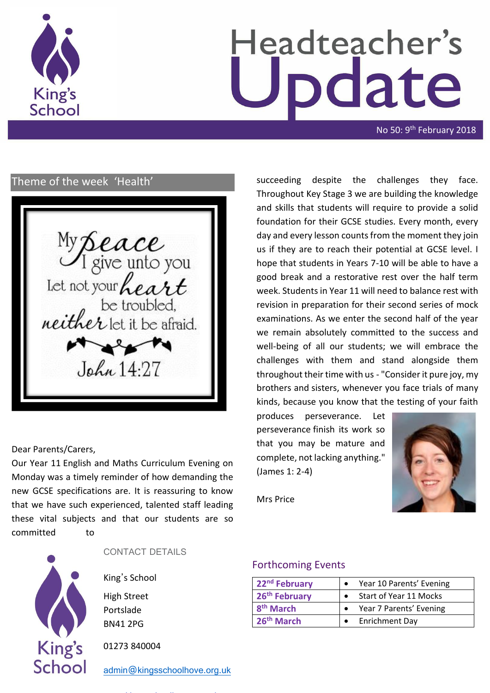

# Headteacher's date

No 50: 9<sup>th</sup> February 2018

## Theme of the week 'Health'

My Seace<br>I give unto you<br>Let not your heart<br>be troubled,<br>neither let it be afraid.  $\sim$ John 14.27

#### Dear Parents/Carers,

Our Year 11 English and Maths Curriculum Evening on Monday was a timely reminder of how demanding the new GCSE specifications are. It is reassuring to know that we have such experienced, talented staff leading these vital subjects and that our students are so committed to



CONTACT DETAILS

King's School

High Street Portslade BN41 2PG

01273 840004

[admin@kingsschoolhove.org.uk](mailto:admin@kingsschoolhove.org.uk)

succeeding despite the challenges they face. Throughout Key Stage 3 we are building the knowledge and skills that students will require to provide a solid foundation for their GCSE studies. Every month, every day and every lesson counts from the moment they join us if they are to reach their potential at GCSE level. I hope that students in Years 7-10 will be able to have a good break and a restorative rest over the half term week. Students in Year 11 will need to balance rest with revision in preparation for their second series of mock examinations. As we enter the second half of the year we remain absolutely committed to the success and well-being of all our students; we will embrace the challenges with them and stand alongside them throughout their time with us - "Consider it pure joy, my brothers and sisters, whenever you face trials of many kinds, because you know that the testing of your faith

produces perseverance. Let perseverance finish its work so that you may be mature and complete, not lacking anything." (James 1: 2-4)



Mrs Price

#### Forthcoming Events

| 22 <sup>nd</sup> February | Year 10 Parents' Evening |
|---------------------------|--------------------------|
| 26 <sup>th</sup> February | Start of Year 11 Mocks   |
| 8 <sup>th</sup> March     | Year 7 Parents' Evening  |
| 26 <sup>th</sup> March    | <b>Enrichment Day</b>    |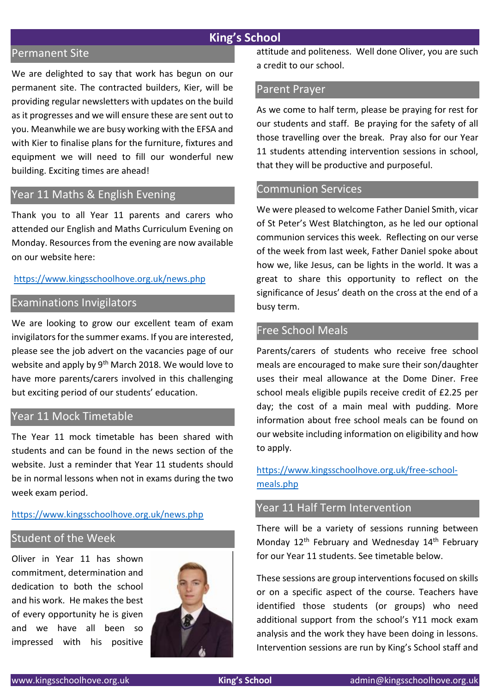#### **King's School**

#### Permanent Site

We are delighted to say that work has begun on our permanent site. The contracted builders, Kier, will be providing regular newsletters with updates on the build as it progresses and we will ensure these are sent out to you. Meanwhile we are busy working with the EFSA and with Kier to finalise plans for the furniture, fixtures and equipment we will need to fill our wonderful new building. Exciting times are ahead!

#### Year 11 Maths & English Evening

Thank you to all Year 11 parents and carers who attended our English and Maths Curriculum Evening on Monday. Resources from the evening are now available on our website here:

#### <https://www.kingsschoolhove.org.uk/news.php>

### Examinations Invigilators

We are looking to grow our excellent team of exam invigilators for the summer exams. If you are interested, please see the job advert on the vacancies page of our website and apply by 9<sup>th</sup> March 2018. We would love to have more parents/carers involved in this challenging but exciting period of our students' education.

#### Year 11 Mock Timetable

The Year 11 mock timetable has been shared with students and can be found in the news section of the website. Just a reminder that Year 11 students should be in normal lessons when not in exams during the two week exam period.

#### <https://www.kingsschoolhove.org.uk/news.php>

#### Student of the Week

Oliver in Year 11 has shown commitment, determination and dedication to both the school and his work. He makes the best of every opportunity he is given and we have all been so impressed with his positive



attitude and politeness. Well done Oliver, you are such a credit to our school.

#### Parent Prayer

As we come to half term, please be praying for rest for our students and staff. Be praying for the safety of all those travelling over the break. Pray also for our Year 11 students attending intervention sessions in school, that they will be productive and purposeful.

#### Communion Services

We were pleased to welcome Father Daniel Smith, vicar of St Peter's West Blatchington, as he led our optional communion services this week. Reflecting on our verse of the week from last week, Father Daniel spoke about how we, like Jesus, can be lights in the world. It was a great to share this opportunity to reflect on the significance of Jesus' death on the cross at the end of a busy term.

#### Free School Meals

Parents/carers of students who receive free school meals are encouraged to make sure their son/daughter uses their meal allowance at the Dome Diner. Free school meals eligible pupils receive credit of £2.25 per day; the cost of a main meal with pudding. More information about free school meals can be found on our website including information on eligibility and how to apply.

[https://www.kingsschoolhove.org.uk/free-school](https://www.kingsschoolhove.org.uk/free-school-meals.php)[meals.php](https://www.kingsschoolhove.org.uk/free-school-meals.php)

#### Year 11 Half Term Intervention

There will be a variety of sessions running between Monday 12<sup>th</sup> February and Wednesday 14<sup>th</sup> February for our Year 11 students. See timetable below.

These sessions are group interventions focused on skills or on a specific aspect of the course. Teachers have identified those students (or groups) who need additional support from the school's Y11 mock exam analysis and the work they have been doing in lessons. Intervention sessions are run by King's School staff and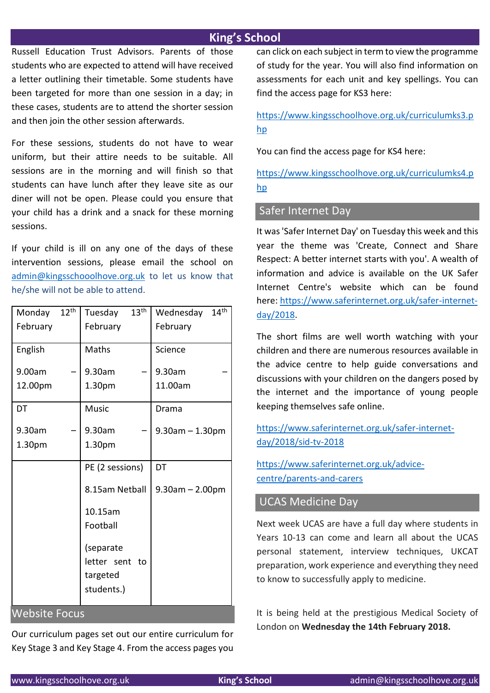### **King's School**

Russell Education Trust Advisors. Parents of those students who are expected to attend will have received a letter outlining their timetable. Some students have been targeted for more than one session in a day; in these cases, students are to attend the shorter session and then join the other session afterwards.

For these sessions, students do not have to wear uniform, but their attire needs to be suitable. All sessions are in the morning and will finish so that students can have lunch after they leave site as our diner will not be open. Please could you ensure that your child has a drink and a snack for these morning sessions.

If your child is ill on any one of the days of these intervention sessions, please email the school on [admin@kingsschooolhove.org.uk](mailto:admin@kingsschooolhove.org.uk) to let us know that he/she will not be able to attend.

| Monday               | $12^{th}$ | Tuesday                                            | 13 <sup>th</sup> | Wednesday             | $14^{\text{th}}$ |  |
|----------------------|-----------|----------------------------------------------------|------------------|-----------------------|------------------|--|
| February             |           | February                                           |                  | February              |                  |  |
| English              |           | Maths                                              |                  | Science               |                  |  |
| 9.00am               |           | 9.30am                                             |                  | 9.30am                |                  |  |
| 12.00pm              |           | 1.30pm                                             |                  | 11.00am               |                  |  |
| DT                   |           | <b>Music</b>                                       |                  | Drama                 |                  |  |
| 9.30am               |           | 9.30am                                             |                  | $9.30$ am $- 1.30$ pm |                  |  |
| 1.30pm               |           | 1.30pm                                             |                  |                       |                  |  |
|                      |           | PE (2 sessions)                                    |                  | DT                    |                  |  |
|                      |           | 8.15am Netball                                     |                  | $9.30$ am $- 2.00$ pm |                  |  |
|                      |           | 10.15am                                            |                  |                       |                  |  |
|                      |           | Football                                           |                  |                       |                  |  |
|                      |           | (separate<br>letter sent<br>targeted<br>students.) | to               |                       |                  |  |
| <b>Website Focus</b> |           |                                                    |                  |                       |                  |  |

Our curriculum pages set out our entire curriculum for Key Stage 3 and Key Stage 4. From the access pages you can click on each subject in term to view the programme of study for the year. You will also find information on assessments for each unit and key spellings. You can find the access page for KS3 here:

[https://www.kingsschoolhove.org.uk/curriculumks3.p](https://www.kingsschoolhove.org.uk/curriculumks3.php) [hp](https://www.kingsschoolhove.org.uk/curriculumks3.php)

You can find the access page for KS4 here:

[https://www.kingsschoolhove.org.uk/curriculumks4.p](https://www.kingsschoolhove.org.uk/curriculumks4.php) [hp](https://www.kingsschoolhove.org.uk/curriculumks4.php)

#### Safer Internet Day

It was 'Safer Internet Day' on Tuesday this week and this year the theme was 'Create, Connect and Share Respect: A better internet starts with you'. A wealth of information and advice is available on the UK Safer Internet Centre's website which can be found here: [https://www.saferinternet.org.uk/safer-internet](https://www.saferinternet.org.uk/safer-internet-day/2018)[day/2018.](https://www.saferinternet.org.uk/safer-internet-day/2018)

The short films are well worth watching with your children and there are numerous resources available in the advice centre to help guide conversations and discussions with your children on the dangers posed by the internet and the importance of young people keeping themselves safe online.

[https://www.saferinternet.org.uk/safer-internet](https://www.saferinternet.org.uk/safer-internet-day/2018/sid-tv-2018)[day/2018/sid-tv-2018](https://www.saferinternet.org.uk/safer-internet-day/2018/sid-tv-2018)

[https://www.saferinternet.org.uk/advice](https://www.saferinternet.org.uk/advice-centre/parents-and-carers)[centre/parents-and-carers](https://www.saferinternet.org.uk/advice-centre/parents-and-carers)

### UCAS Medicine Day

Next week UCAS are have a full day where students in Years 10-13 can come and learn all about the UCAS personal statement, interview techniques, UKCAT preparation, work experience and everything they need to know to successfully apply to medicine.

It is being held at the prestigious Medical Society of London on **Wednesday the 14th February 2018.**